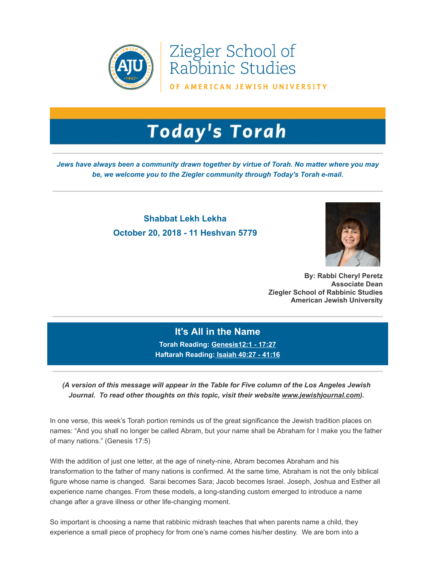

Ziegler School of Rabbinic Studies

OF AMERICAN JEWISH UNIVERSITY

## **Today's Torah**

*Jews have always been a community drawn together by virtue of Torah. No matter where you may be, we welcome you to the Ziegler community through Today's Torah e-mail.*

## **Shabbat Lekh Lekha October 20, 2018 - 11 Heshvan 5779**



**By: Rabbi Cheryl Peretz Associate Dean Ziegler School of Rabbinic Studies American Jewish University**

## **It's All in the Name Torah Reading: [Genesis12:1 - 17:27](https://t.e2ma.net/click/4w0hy/sziwr0/09npsi)**

**Haftarah Reading: [Isaiah 40:27 - 41:16](https://t.e2ma.net/click/4w0hy/sziwr0/wuppsi)**

*(A version of this message will appear in the Table for Five column of the Los Angeles Jewish Journal. To read other thoughts on this topic, visit their website [www.jewishjournal.com\)](https://t.e2ma.net/click/4w0hy/sziwr0/87rpsi).*

In one verse, this week's Torah portion reminds us of the great significance the Jewish tradition places on names: "And you shall no longer be called Abram, but your name shall be Abraham for I make you the father of many nations." (Genesis 17:5)

With the addition of just one letter, at the age of ninety-nine, Abram becomes Abraham and his transformation to the father of many nations is confirmed. At the same time, Abraham is not the only biblical figure whose name is changed. Sarai becomes Sara; Jacob becomes Israel. Joseph, Joshua and Esther all experience name changes. From these models, a long-standing custom emerged to introduce a name change after a grave illness or other life-changing moment.

So important is choosing a name that rabbinic midrash teaches that when parents name a child, they experience a small piece of prophecy for from one's name comes his/her destiny. We are born into a